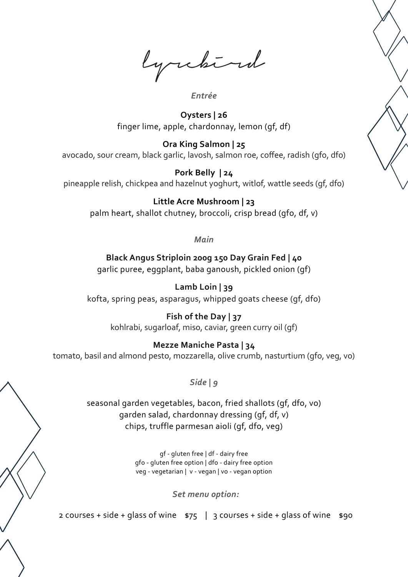lyrchird

#### *Entrée*

**Oysters | 26** finger lime, apple, chardonnay, lemon (gf, df)

**Ora King Salmon | 25** avocado, sour cream, black garlic, lavosh, salmon roe, coffee, radish (gfo, dfo)

**Pork Belly | 24** pineapple relish, chickpea and hazelnut yoghurt, witlof, wattle seeds (gf, dfo)

# **Little Acre Mushroom | 23**

palm heart, shallot chutney, broccoli, crisp bread (gfo, df, v)

*Main*

**Black Angus Striploin 200g 150 Day Grain Fed | 40** garlic puree, eggplant, baba ganoush, pickled onion (gf)

**Lamb Loin | 39** kofta, spring peas, asparagus, whipped goats cheese (gf, dfo)

> **Fish of the Day | 37** kohlrabi, sugarloaf, miso, caviar, green curry oil (gf)

# **Mezze Maniche Pasta | 34**

tomato, basil and almond pesto, mozzarella, olive crumb, nasturtium (gfo, veg, vo)

*Side | 9*

seasonal garden vegetables, bacon, fried shallots (gf, dfo, vo) garden salad, chardonnay dressing (gf, df, v) chips, truffle parmesan aioli (gf, dfo, veg)

> gf - gluten free | df - dairy free gfo - gluten free option | dfo - dairy free option veg - vegetarian | v - vegan | vo - vegan option

> > *Set menu option:*

2 courses + side + glass of wine  $\frac{575}{3}$  | 3 courses + side + glass of wine  $\frac{100}{3}$